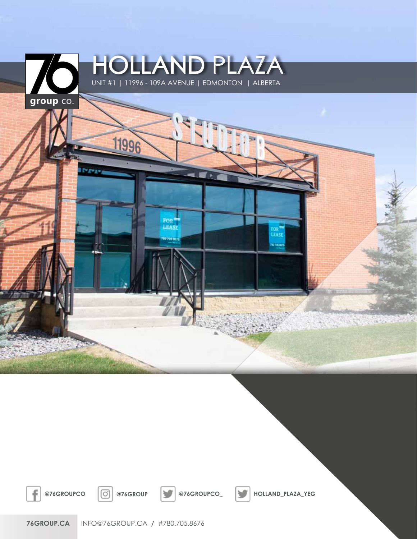